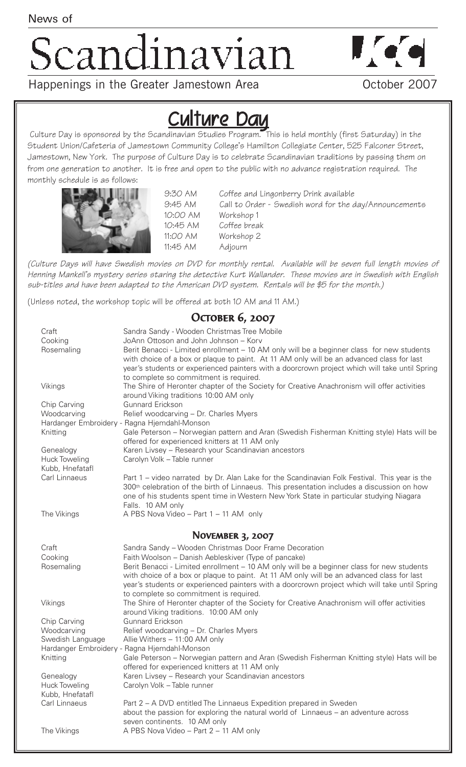# Scandinavian



Happenings in the Greater Jamestown Area **Communist Constant Contract Presentings** in the Greater Jamestown Area

## Culture Day

Culture Day is sponsored by the Scandinavian Studies Program. This is held monthly (first Saturday) in the Student Union/Cafeteria of Jamestown Community College's Hamilton Collegiate Center, 525 Falconer Street, Jamestown, New York. The purpose of Culture Day is to celebrate Scandinavian traditions by passing them on from one generation to another. It is free and open to the public with no advance registration required. The monthly schedule is as follows:



| 9:30 AM  | Coffee and Lingonberry Drink available                 |
|----------|--------------------------------------------------------|
| 9:45 AM  | Call to Order - Swedish word for the day/Announcements |
| 10:00 AM | Workshop 1                                             |
| 10:45 AM | Coffee break                                           |
| 11:00 AM | Workshop 2                                             |
| 11:45 AM | Adjourn                                                |
|          |                                                        |

(Culture Days will have Swedish movies on DVD for monthly rental. Available will be seven full length movies of Henning Mankell's mystery series staring the detective Kurt Wallander. These movies are in Swedish with English sub-titles and have been adapted to the American DVD system. Rentals will be \$5 for the month.)

(Unless noted, the workshop topic will be offered at both 10 AM and 11 AM.)

### OCTOBER 6, 2007

| Craft                                   | Sandra Sandy - Wooden Christmas Tree Mobile                                                                                                                                                                                                                                                                                       |  |
|-----------------------------------------|-----------------------------------------------------------------------------------------------------------------------------------------------------------------------------------------------------------------------------------------------------------------------------------------------------------------------------------|--|
| Cooking                                 | JoAnn Ottoson and John Johnson - Korv                                                                                                                                                                                                                                                                                             |  |
| Rosemaling                              | Berit Benacci - Limited enrollment - 10 AM only will be a beginner class for new students<br>with choice of a box or plaque to paint. At 11 AM only will be an advanced class for last<br>year's students or experienced painters with a doorcrown project which will take until Spring<br>to complete so commitment is required. |  |
| Vikings                                 | The Shire of Heronter chapter of the Society for Creative Anachronism will offer activities<br>around Viking traditions 10:00 AM only                                                                                                                                                                                             |  |
| Chip Carving                            | <b>Gunnard Erickson</b>                                                                                                                                                                                                                                                                                                           |  |
| Woodcarving                             | Relief woodcarving - Dr. Charles Myers                                                                                                                                                                                                                                                                                            |  |
|                                         | Hardanger Embroidery - Ragna Hjemdahl-Monson                                                                                                                                                                                                                                                                                      |  |
| Knitting                                | Gale Peterson – Norwegian pattern and Aran (Swedish Fisherman Knitting style) Hats will be<br>offered for experienced knitters at 11 AM only                                                                                                                                                                                      |  |
| Genealogy                               | Karen Livsey - Research your Scandinavian ancestors                                                                                                                                                                                                                                                                               |  |
| <b>Huck Toweling</b><br>Kubb, Hnefatafl | Carolyn Volk - Table runner                                                                                                                                                                                                                                                                                                       |  |
| Carl Linnaeus                           | Part 1 – video narrated by Dr. Alan Lake for the Scandinavian Folk Festival. This year is the<br>300 <sup>th</sup> celebration of the birth of Linnaeus. This presentation includes a discussion on how<br>one of his students spent time in Western New York State in particular studying Niagara<br>Falls. 10 AM only           |  |
| The Vikings                             | A PBS Nova Video - Part 1 - 11 AM only                                                                                                                                                                                                                                                                                            |  |
|                                         |                                                                                                                                                                                                                                                                                                                                   |  |
| <b>NOVEMBER 3, 2007</b>                 |                                                                                                                                                                                                                                                                                                                                   |  |
| Craft                                   | Sandra Sandy - Wooden Christmas Door Frame Decoration                                                                                                                                                                                                                                                                             |  |
| Cooking                                 | Faith Woolson - Danish Aebleskiver (Type of pancake)                                                                                                                                                                                                                                                                              |  |
| Rosemaling                              | Berit Benacci - Limited enrollment - 10 AM only will be a beginner class for new students<br>with choice of a box or plaque to paint. At 11 AM only will be an advanced class for last<br>year's students or experienced painters with a doorcrown project which will take until Spring<br>to complete so commitment is required. |  |
| Vikings                                 | The Shire of Heronter chapter of the Society for Creative Anachronism will offer activities<br>around Viking traditions. 10:00 AM only                                                                                                                                                                                            |  |
| Chip Carving                            | <b>Gunnard Erickson</b>                                                                                                                                                                                                                                                                                                           |  |
| Woodcarving                             | Relief woodcarving - Dr. Charles Myers                                                                                                                                                                                                                                                                                            |  |
| Swedish Language                        | Allie Withers - 11:00 AM only                                                                                                                                                                                                                                                                                                     |  |
|                                         | Hardanger Embroidery - Ragna Hjemdahl-Monson                                                                                                                                                                                                                                                                                      |  |
| Knitting                                | Gale Peterson – Norwegian pattern and Aran (Swedish Fisherman Knitting style) Hats will be                                                                                                                                                                                                                                        |  |
|                                         | offered for experienced knitters at 11 AM only                                                                                                                                                                                                                                                                                    |  |
| Genealogy                               | Karen Livsey - Research your Scandinavian ancestors                                                                                                                                                                                                                                                                               |  |
| <b>Huck Toweling</b>                    | Carolyn Volk - Table runner                                                                                                                                                                                                                                                                                                       |  |
| Kubb, Hnefatafl                         |                                                                                                                                                                                                                                                                                                                                   |  |
|                                         |                                                                                                                                                                                                                                                                                                                                   |  |
| Carl Linnaeus                           | Part 2 - A DVD entitled The Linnaeus Expedition prepared in Sweden                                                                                                                                                                                                                                                                |  |
|                                         | about the passion for exploring the natural world of Linnaeus – an adventure across<br>seven continents. 10 AM only                                                                                                                                                                                                               |  |